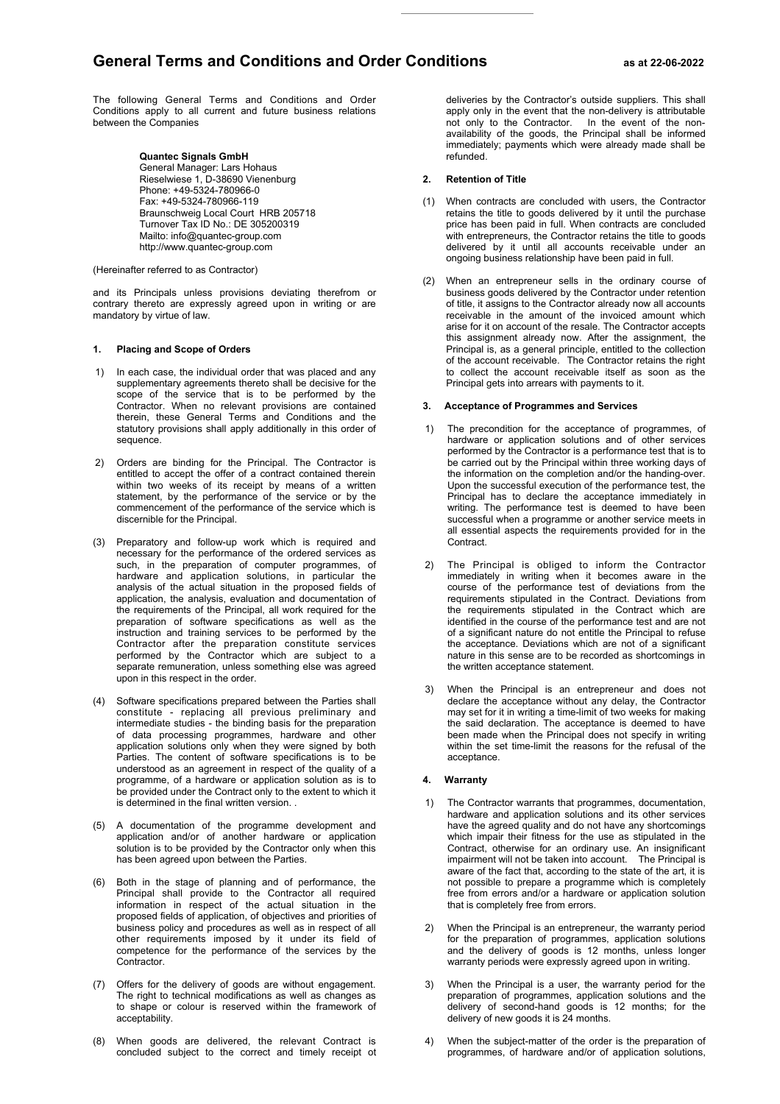# **General Terms and Conditions and Order Conditions as at 22-06-2022**

The following General Terms and Conditions and Order Conditions apply to all current and future business relations between the Companies

> **Quantec Signals GmbH** General Manager: Lars Hohaus Rieselwiese 1, D-38690 Vienenburg Phone: +49-5324-780966-0 Fax: +49-5324-780966-119 Braunschweig Local Court HRB 205718 Turnover Tax ID No.: DE 305200319 Mailto: info@quantec-group.com http://www.quantec-group.com

## (Hereinafter referred to as Contractor)

and its Principals unless provisions deviating therefrom or contrary thereto are expressly agreed upon in writing or are mandatory by virtue of law.

## **1. Placing and Scope of Orders**

- 1) In each case, the individual order that was placed and any supplementary agreements thereto shall be decisive for the scope of the service that is to be performed by the Contractor. When no relevant provisions are contained therein, these General Terms and Conditions and the statutory provisions shall apply additionally in this order of sequence.
- 2) Orders are binding for the Principal. The Contractor is entitled to accept the offer of a contract contained therein within two weeks of its receipt by means of a written statement, by the performance of the service or by the commencement of the performance of the service which is discernible for the Principal.
- (3) Preparatory and follow-up work which is required and necessary for the performance of the ordered services as such, in the preparation of computer programmes, of hardware and application solutions, in particular the analysis of the actual situation in the proposed fields of application, the analysis, evaluation and documentation of the requirements of the Principal, all work required for the preparation of software specifications as well as the instruction and training services to be performed by the Contractor after the preparation constitute services performed by the Contractor which are subject to a separate remuneration, unless something else was agreed upon in this respect in the order.
- (4) Software specifications prepared between the Parties shall constitute - replacing all previous preliminary and intermediate studies - the binding basis for the preparation of data processing programmes, hardware and other application solutions only when they were signed by both Parties. The content of software specifications is to be understood as an agreement in respect of the quality of a programme, of a hardware or application solution as is to be provided under the Contract only to the extent to which it is determined in the final written version. .
- (5) A documentation of the programme development and application and/or of another hardware or application solution is to be provided by the Contractor only when this has been agreed upon between the Parties.
- (6) Both in the stage of planning and of performance, the Principal shall provide to the Contractor all required information in respect of the actual situation in the proposed fields of application, of objectives and priorities of business policy and procedures as well as in respect of all other requirements imposed by it under its field of competence for the performance of the services by the Contractor.
- (7) Offers for the delivery of goods are without engagement. The right to technical modifications as well as changes as to shape or colour is reserved within the framework of acceptability.
- (8) When goods are delivered, the relevant Contract is concluded subject to the correct and timely receipt ot

deliveries by the Contractor's outside suppliers. This shall apply only in the event that the non-delivery is attributable not only to the Contractor. In the event of the nonavailability of the goods, the Principal shall be informed immediately; payments which were already made shall be refunded.

#### **2. Retention of Title**

- (1) When contracts are concluded with users, the Contractor retains the title to goods delivered by it until the purchase price has been paid in full. When contracts are concluded with entrepreneurs, the Contractor retains the title to goods delivered by it until all accounts receivable under an ongoing business relationship have been paid in full.
- (2) When an entrepreneur sells in the ordinary course of business goods delivered by the Contractor under retention of title, it assigns to the Contractor already now all accounts receivable in the amount of the invoiced amount which arise for it on account of the resale. The Contractor accepts this assignment already now. After the assignment, the Principal is, as a general principle, entitled to the collection of the account receivable. The Contractor retains the right to collect the account receivable itself as soon as the Principal gets into arrears with payments to it.

## **3. Acceptance of Programmes and Services**

- 1) The precondition for the acceptance of programmes, of hardware or application solutions and of other services performed by the Contractor is a performance test that is to be carried out by the Principal within three working days of the information on the completion and/or the handing-over. Upon the successful execution of the performance test, the Principal has to declare the acceptance immediately in writing. The performance test is deemed to have been successful when a programme or another service meets in all essential aspects the requirements provided for in the **Contract.**
- 2) The Principal is obliged to inform the Contractor immediately in writing when it becomes aware in the course of the performance test of deviations from the requirements stipulated in the Contract. Deviations from the requirements stipulated in the Contract which are identified in the course of the performance test and are not of a significant nature do not entitle the Principal to refuse the acceptance. Deviations which are not of a significant nature in this sense are to be recorded as shortcomings in the written acceptance statement.
- 3) When the Principal is an entrepreneur and does not declare the acceptance without any delay, the Contractor may set for it in writing a time-limit of two weeks for making the said declaration. The acceptance is deemed to have been made when the Principal does not specify in writing within the set time-limit the reasons for the refusal of the acceptance.

# **4. Warranty**

- 1) The Contractor warrants that programmes, documentation, hardware and application solutions and its other services have the agreed quality and do not have any shortcomings which impair their fitness for the use as stipulated in the Contract, otherwise for an ordinary use. An insignificant impairment will not be taken into account. The Principal is aware of the fact that, according to the state of the art, it is not possible to prepare a programme which is completely free from errors and/or a hardware or application solution that is completely free from errors.
- 2) When the Principal is an entrepreneur, the warranty period for the preparation of programmes, application solutions and the delivery of goods is 12 months, unless longer warranty periods were expressly agreed upon in writing.
- 3) When the Principal is a user, the warranty period for the preparation of programmes, application solutions and the delivery of second-hand goods is 12 months; for the delivery of new goods it is 24 months.
- 4) When the subject-matter of the order is the preparation of programmes, of hardware and/or of application solutions,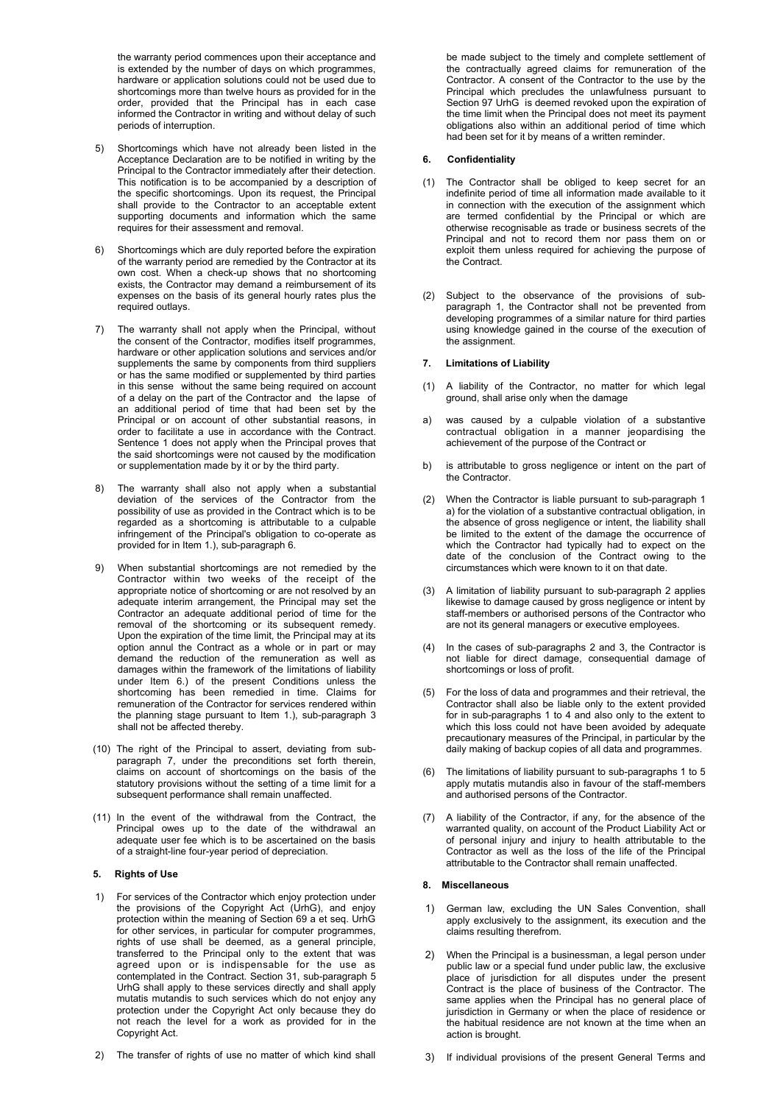the warranty period commences upon their acceptance and is extended by the number of days on which programmes, hardware or application solutions could not be used due to shortcomings more than twelve hours as provided for in the order, provided that the Principal has in each case informed the Contractor in writing and without delay of such periods of interruption.

- 5) Shortcomings which have not already been listed in the Acceptance Declaration are to be notified in writing by the Principal to the Contractor immediately after their detection. This notification is to be accompanied by a description of the specific shortcomings. Upon its request, the Principal shall provide to the Contractor to an acceptable extent supporting documents and information which the same requires for their assessment and removal.
- 6) Shortcomings which are duly reported before the expiration of the warranty period are remedied by the Contractor at its own cost. When a check-up shows that no shortcoming exists, the Contractor may demand a reimbursement of its expenses on the basis of its general hourly rates plus the required outlays.
- 7) The warranty shall not apply when the Principal, without the consent of the Contractor, modifies itself programmes, hardware or other application solutions and services and/or supplements the same by components from third suppliers or has the same modified or supplemented by third parties in this sense without the same being required on account of a delay on the part of the Contractor and the lapse of an additional period of time that had been set by the Principal or on account of other substantial reasons, in order to facilitate a use in accordance with the Contract. Sentence 1 does not apply when the Principal proves that the said shortcomings were not caused by the modification or supplementation made by it or by the third party.
- 8) The warranty shall also not apply when a substantial deviation of the services of the Contractor from the possibility of use as provided in the Contract which is to be regarded as a shortcoming is attributable to a culpable infringement of the Principal's obligation to co-operate as provided for in Item 1.), sub-paragraph 6.
- 9) When substantial shortcomings are not remedied by the Contractor within two weeks of the receipt of the appropriate notice of shortcoming or are not resolved by an adequate interim arrangement, the Principal may set the Contractor an adequate additional period of time for the removal of the shortcoming or its subsequent remedy. Upon the expiration of the time limit, the Principal may at its option annul the Contract as a whole or in part or may demand the reduction of the remuneration as well as damages within the framework of the limitations of liability under Item 6.) of the present Conditions unless the shortcoming has been remedied in time. Claims for remuneration of the Contractor for services rendered within the planning stage pursuant to Item 1.), sub-paragraph 3 shall not be affected thereby.
- (10) The right of the Principal to assert, deviating from subparagraph 7, under the preconditions set forth therein, claims on account of shortcomings on the basis of the statutory provisions without the setting of a time limit for a subsequent performance shall remain unaffected.
- (11) In the event of the withdrawal from the Contract, the Principal owes up to the date of the withdrawal an adequate user fee which is to be ascertained on the basis of a straight-line four-year period of depreciation.

## **5. Rights of Use**

- 1) For services of the Contractor which enjoy protection under the provisions of the Copyright Act (UrhG), and enjoy protection within the meaning of Section 69 a et seq. UrhG for other services, in particular for computer programmes, rights of use shall be deemed, as a general principle, transferred to the Principal only to the extent that was agreed upon or is indispensable for the use as contemplated in the Contract. Section 31, sub-paragraph 5 UrhG shall apply to these services directly and shall apply mutatis mutandis to such services which do not enjoy any protection under the Copyright Act only because they do not reach the level for a work as provided for in the Copyright Act.
- 2) The transfer of rights of use no matter of which kind shall

be made subject to the timely and complete settlement of the contractually agreed claims for remuneration of the Contractor. A consent of the Contractor to the use by the Principal which precludes the unlawfulness pursuant to Section 97 UrhG is deemed revoked upon the expiration of the time limit when the Principal does not meet its payment obligations also within an additional period of time which had been set for it by means of a written reminder.

## **6. Confidentiality**

- (1) The Contractor shall be obliged to keep secret for an indefinite period of time all information made available to it in connection with the execution of the assignment which are termed confidential by the Principal or which are otherwise recognisable as trade or business secrets of the Principal and not to record them nor pass them on or exploit them unless required for achieving the purpose of the Contract.
- (2) Subject to the observance of the provisions of subparagraph 1, the Contractor shall not be prevented from developing programmes of a similar nature for third parties using knowledge gained in the course of the execution of the assignment.

# **7. Limitations of Liability**

- (1) A liability of the Contractor, no matter for which legal ground, shall arise only when the damage
- a) was caused by a culpable violation of a substantive contractual obligation in a manner jeopardising the achievement of the purpose of the Contract or
- b) is attributable to gross negligence or intent on the part of the Contractor.
- (2) When the Contractor is liable pursuant to sub-paragraph 1 a) for the violation of a substantive contractual obligation, in the absence of gross negligence or intent, the liability shall be limited to the extent of the damage the occurrence of which the Contractor had typically had to expect on the date of the conclusion of the Contract owing to the circumstances which were known to it on that date.
- (3) A limitation of liability pursuant to sub-paragraph 2 applies likewise to damage caused by gross negligence or intent by staff-members or authorised persons of the Contractor who are not its general managers or executive employees.
- (4) In the cases of sub-paragraphs 2 and 3, the Contractor is not liable for direct damage, consequential damage of shortcomings or loss of profit.
- (5) For the loss of data and programmes and their retrieval, the Contractor shall also be liable only to the extent provided for in sub-paragraphs 1 to 4 and also only to the extent to which this loss could not have been avoided by adequate precautionary measures of the Principal, in particular by the daily making of backup copies of all data and programmes.
- (6) The limitations of liability pursuant to sub-paragraphs 1 to 5 apply mutatis mutandis also in favour of the staff-members and authorised persons of the Contractor.
- (7) A liability of the Contractor, if any, for the absence of the warranted quality, on account of the Product Liability Act or of personal injury and injury to health attributable to the Contractor as well as the loss of the life of the Principal attributable to the Contractor shall remain unaffected.

## **8. Miscellaneous**

- 1) German law, excluding the UN Sales Convention, shall apply exclusively to the assignment, its execution and the claims resulting therefrom.
- 2) When the Principal is a businessman, a legal person under public law or a special fund under public law, the exclusive place of jurisdiction for all disputes under the present Contract is the place of business of the Contractor. The same applies when the Principal has no general place of jurisdiction in Germany or when the place of residence or the habitual residence are not known at the time when an action is brought.
- 3) If individual provisions of the present General Terms and